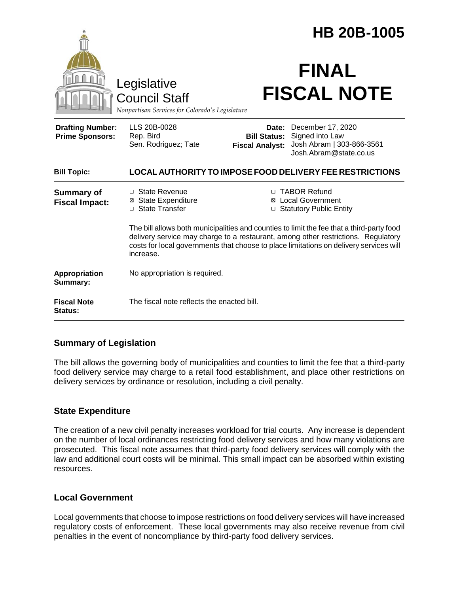|                                                                                        |                                                                                                                                                                                                                                                                                       | <b>HB 20B-1005</b>                                                       |                                                                                             |
|----------------------------------------------------------------------------------------|---------------------------------------------------------------------------------------------------------------------------------------------------------------------------------------------------------------------------------------------------------------------------------------|--------------------------------------------------------------------------|---------------------------------------------------------------------------------------------|
| Legislative<br><b>Council Staff</b><br>Nonpartisan Services for Colorado's Legislature |                                                                                                                                                                                                                                                                                       | <b>FINAL</b><br><b>FISCAL NOTE</b>                                       |                                                                                             |
| <b>Drafting Number:</b><br><b>Prime Sponsors:</b>                                      | LLS 20B-0028<br>Rep. Bird<br>Sen. Rodriguez; Tate                                                                                                                                                                                                                                     | Date:<br><b>Bill Status:</b><br><b>Fiscal Analyst:</b>                   | December 17, 2020<br>Signed into Law<br>Josh Abram   303-866-3561<br>Josh.Abram@state.co.us |
| <b>Bill Topic:</b>                                                                     | <b>LOCAL AUTHORITY TO IMPOSE FOOD DELIVERY FEE RESTRICTIONS</b>                                                                                                                                                                                                                       |                                                                          |                                                                                             |
| <b>Summary of</b><br><b>Fiscal Impact:</b>                                             | □ State Revenue<br><b>State Expenditure</b><br>□ State Transfer                                                                                                                                                                                                                       | □ TABOR Refund<br><b>⊠</b> Local Government<br>□ Statutory Public Entity |                                                                                             |
|                                                                                        | The bill allows both municipalities and counties to limit the fee that a third-party food<br>delivery service may charge to a restaurant, among other restrictions. Regulatory<br>costs for local governments that choose to place limitations on delivery services will<br>increase. |                                                                          |                                                                                             |
| Appropriation<br>Summary:                                                              | No appropriation is required.                                                                                                                                                                                                                                                         |                                                                          |                                                                                             |
| <b>Fiscal Note</b><br>Status:                                                          | The fiscal note reflects the enacted bill.                                                                                                                                                                                                                                            |                                                                          |                                                                                             |

## **Summary of Legislation**

The bill allows the governing body of municipalities and counties to limit the fee that a third-party food delivery service may charge to a retail food establishment, and place other restrictions on delivery services by ordinance or resolution, including a civil penalty.

## **State Expenditure**

The creation of a new civil penalty increases workload for trial courts. Any increase is dependent on the number of local ordinances restricting food delivery services and how many violations are prosecuted. This fiscal note assumes that third-party food delivery services will comply with the law and additional court costs will be minimal. This small impact can be absorbed within existing resources.

#### **Local Government**

Local governments that choose to impose restrictions on food delivery services will have increased regulatory costs of enforcement. These local governments may also receive revenue from civil penalties in the event of noncompliance by third-party food delivery services.